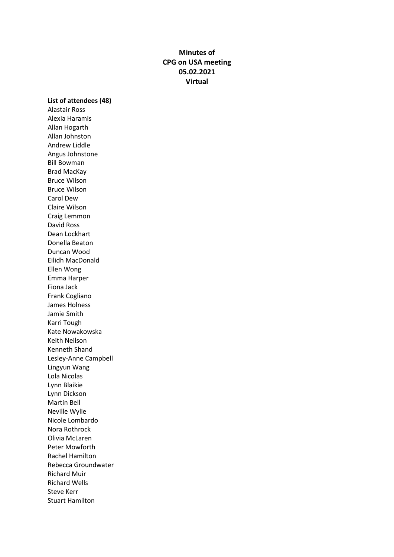# **Minutes of CPG on USA meeting 05.02.2021 Virtual**

**List of attendees (48)**

Alastair Ross Alexia Haramis Allan Hogarth Allan Johnston Andrew Liddle Angus Johnstone Bill Bowman Brad MacKay Bruce Wilson Bruce Wilson Carol Dew Claire Wilson Craig Lemmon David Ross Dean Lockhart Donella Beaton Duncan Wood Eilidh MacDonald Ellen Wong Emma Harper Fiona Jack Frank Cogliano James Holness Jamie Smith Karri Tough Kate Nowakowska Keith Neilson Kenneth Shand Lesley-Anne Campbell Lingyun Wang Lola Nicolas Lynn Blaikie Lynn Dickson Martin Bell Neville Wylie Nicole Lombardo Nora Rothrock Olivia McLaren Peter Mowforth Rachel Hamilton Rebecca Groundwater Richard Muir Richard Wells Steve Kerr Stuart Hamilton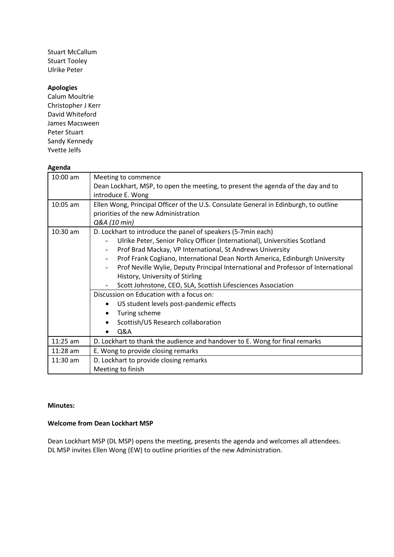Stuart McCallum Stuart Tooley Ulrike Peter

#### **Apologies**

Calum Moultrie Christopher J Kerr David Whiteford James Macsween Peter Stuart Sandy Kennedy Yvette Jelfs

#### **Agenda**

| 10:00 am   | Meeting to commence                                                                  |
|------------|--------------------------------------------------------------------------------------|
|            | Dean Lockhart, MSP, to open the meeting, to present the agenda of the day and to     |
|            | introduce E. Wong                                                                    |
| 10:05 am   | Ellen Wong, Principal Officer of the U.S. Consulate General in Edinburgh, to outline |
|            | priorities of the new Administration                                                 |
|            | Q&A (10 min)                                                                         |
| $10:30$ am | D. Lockhart to introduce the panel of speakers (5-7min each)                         |
|            | Ulrike Peter, Senior Policy Officer (International), Universities Scotland           |
|            | Prof Brad Mackay, VP International, St Andrews University                            |
|            | Prof Frank Cogliano, International Dean North America, Edinburgh University          |
|            | Prof Neville Wylie, Deputy Principal International and Professor of International    |
|            | History, University of Stirling                                                      |
|            | Scott Johnstone, CEO, SLA, Scottish Lifesciences Association                         |
|            | Discussion on Education with a focus on:                                             |
|            | US student levels post-pandemic effects                                              |
|            | Turing scheme                                                                        |
|            | Scottish/US Research collaboration                                                   |
|            | Q&A                                                                                  |
| $11:25$ am | D. Lockhart to thank the audience and handover to E. Wong for final remarks          |
| $11:28$ am | E. Wong to provide closing remarks                                                   |
| $11:30$ am | D. Lockhart to provide closing remarks                                               |
|            | Meeting to finish                                                                    |

#### **Minutes:**

# **Welcome from Dean Lockhart MSP**

Dean Lockhart MSP (DL MSP) opens the meeting, presents the agenda and welcomes all attendees. DL MSP invites Ellen Wong (EW) to outline priorities of the new Administration.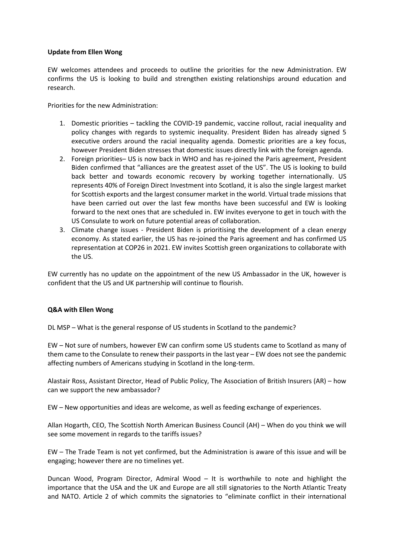#### **Update from Ellen Wong**

EW welcomes attendees and proceeds to outline the priorities for the new Administration. EW confirms the US is looking to build and strengthen existing relationships around education and research.

Priorities for the new Administration:

- 1. Domestic priorities tackling the COVID-19 pandemic, vaccine rollout, racial inequality and policy changes with regards to systemic inequality. President Biden has already signed 5 executive orders around the racial inequality agenda. Domestic priorities are a key focus, however President Biden stresses that domestic issues directly link with the foreign agenda.
- 2. Foreign priorities– US is now back in WHO and has re-joined the Paris agreement, President Biden confirmed that "alliances are the greatest asset of the US". The US is looking to build back better and towards economic recovery by working together internationally. US represents 40% of Foreign Direct Investment into Scotland, it is also the single largest market for Scottish exports and the largest consumer market in the world. Virtual trade missions that have been carried out over the last few months have been successful and EW is looking forward to the next ones that are scheduled in. EW invites everyone to get in touch with the US Consulate to work on future potential areas of collaboration.
- 3. Climate change issues President Biden is prioritising the development of a clean energy economy. As stated earlier, the US has re-joined the Paris agreement and has confirmed US representation at COP26 in 2021. EW invites Scottish green organizations to collaborate with the US.

EW currently has no update on the appointment of the new US Ambassador in the UK, however is confident that the US and UK partnership will continue to flourish.

# **Q&A with Ellen Wong**

DL MSP – What is the general response of US students in Scotland to the pandemic?

EW – Not sure of numbers, however EW can confirm some US students came to Scotland as many of them came to the Consulate to renew their passports in the last year – EW does not see the pandemic affecting numbers of Americans studying in Scotland in the long-term.

Alastair Ross, Assistant Director, Head of Public Policy, The Association of British Insurers (AR) – how can we support the new ambassador?

EW – New opportunities and ideas are welcome, as well as feeding exchange of experiences.

Allan Hogarth, CEO, The Scottish North American Business Council (AH) – When do you think we will see some movement in regards to the tariffs issues?

EW – The Trade Team is not yet confirmed, but the Administration is aware of this issue and will be engaging; however there are no timelines yet.

Duncan Wood, Program Director, Admiral Wood – It is worthwhile to note and highlight the importance that the USA and the UK and Europe are all still signatories to the North Atlantic Treaty and NATO. Article 2 of which commits the signatories to "eliminate conflict in their international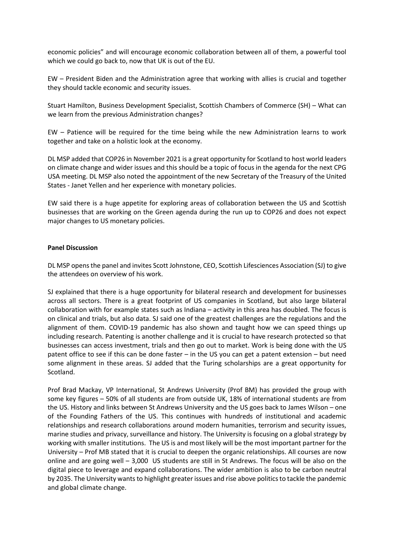economic policies" and will encourage economic collaboration between all of them, a powerful tool which we could go back to, now that UK is out of the EU.

EW – President Biden and the Administration agree that working with allies is crucial and together they should tackle economic and security issues.

Stuart Hamilton, Business Development Specialist, Scottish Chambers of Commerce (SH) – What can we learn from the previous Administration changes?

EW – Patience will be required for the time being while the new Administration learns to work together and take on a holistic look at the economy.

DL MSP added that COP26 in November 2021 is a great opportunity for Scotland to host world leaders on climate change and wider issues and this should be a topic of focus in the agenda for the next CPG USA meeting. DL MSP also noted the appointment of the new Secretary of the Treasury of the United States - Janet Yellen and her experience with monetary policies.

EW said there is a huge appetite for exploring areas of collaboration between the US and Scottish businesses that are working on the Green agenda during the run up to COP26 and does not expect major changes to US monetary policies.

# **Panel Discussion**

DL MSP opensthe panel and invites Scott Johnstone, CEO, Scottish Lifesciences Association (SJ) to give the attendees on overview of his work.

SJ explained that there is a huge opportunity for bilateral research and development for businesses across all sectors. There is a great footprint of US companies in Scotland, but also large bilateral collaboration with for example states such as Indiana – activity in this area has doubled. The focus is on clinical and trials, but also data. SJ said one of the greatest challenges are the regulations and the alignment of them. COVID-19 pandemic has also shown and taught how we can speed things up including research. Patenting is another challenge and it is crucial to have research protected so that businesses can access investment, trials and then go out to market. Work is being done with the US patent office to see if this can be done faster – in the US you can get a patent extension – but need some alignment in these areas. SJ added that the Turing scholarships are a great opportunity for Scotland.

Prof Brad Mackay, VP International, St Andrews University (Prof BM) has provided the group with some key figures – 50% of all students are from outside UK, 18% of international students are from the US. History and links between St Andrews University and the US goes back to James Wilson – one of the Founding Fathers of the US. This continues with hundreds of institutional and academic relationships and research collaborations around modern humanities, terrorism and security issues, marine studies and privacy, surveillance and history. The University is focusing on a global strategy by working with smaller institutions. The US is and most likely will be the most important partner for the University – Prof MB stated that it is crucial to deepen the organic relationships. All courses are now online and are going well – 3,000 US students are still in St Andrews. The focus will be also on the digital piece to leverage and expand collaborations. The wider ambition is also to be carbon neutral by 2035. The University wants to highlight greater issues and rise above politics to tackle the pandemic and global climate change.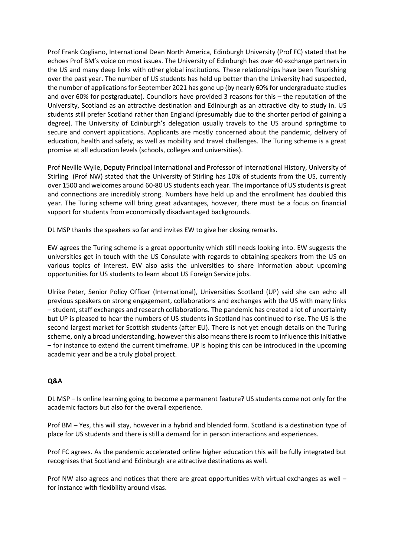Prof Frank Cogliano, International Dean North America, Edinburgh University (Prof FC) stated that he echoes Prof BM's voice on most issues. The University of Edinburgh has over 40 exchange partners in the US and many deep links with other global institutions. These relationships have been flourishing over the past year. The number of US students has held up better than the University had suspected, the number of applications for September 2021 has gone up (by nearly 60% for undergraduate studies and over 60% for postgraduate). Councilors have provided 3 reasons for this – the reputation of the University, Scotland as an attractive destination and Edinburgh as an attractive city to study in. US students still prefer Scotland rather than England (presumably due to the shorter period of gaining a degree). The University of Edinburgh's delegation usually travels to the US around springtime to secure and convert applications. Applicants are mostly concerned about the pandemic, delivery of education, health and safety, as well as mobility and travel challenges. The Turing scheme is a great promise at all education levels (schools, colleges and universities).

Prof Neville Wylie, Deputy Principal International and Professor of International History, University of Stirling (Prof NW) stated that the University of Stirling has 10% of students from the US, currently over 1500 and welcomes around 60-80 US students each year. The importance of US students is great and connections are incredibly strong. Numbers have held up and the enrollment has doubled this year. The Turing scheme will bring great advantages, however, there must be a focus on financial support for students from economically disadvantaged backgrounds.

DL MSP thanks the speakers so far and invites EW to give her closing remarks.

EW agrees the Turing scheme is a great opportunity which still needs looking into. EW suggests the universities get in touch with the US Consulate with regards to obtaining speakers from the US on various topics of interest. EW also asks the universities to share information about upcoming opportunities for US students to learn about US Foreign Service jobs.

Ulrike Peter, Senior Policy Officer (International), Universities Scotland (UP) said she can echo all previous speakers on strong engagement, collaborations and exchanges with the US with many links – student, staff exchanges and research collaborations. The pandemic has created a lot of uncertainty but UP is pleased to hear the numbers of US students in Scotland has continued to rise. The US is the second largest market for Scottish students (after EU). There is not yet enough details on the Turing scheme, only a broad understanding, however this also means there isroom to influence this initiative – for instance to extend the current timeframe. UP is hoping this can be introduced in the upcoming academic year and be a truly global project.

# **Q&A**

DL MSP – Is online learning going to become a permanent feature? US students come not only for the academic factors but also for the overall experience.

Prof BM – Yes, this will stay, however in a hybrid and blended form. Scotland is a destination type of place for US students and there is still a demand for in person interactions and experiences.

Prof FC agrees. As the pandemic accelerated online higher education this will be fully integrated but recognises that Scotland and Edinburgh are attractive destinations as well.

Prof NW also agrees and notices that there are great opportunities with virtual exchanges as well – for instance with flexibility around visas.